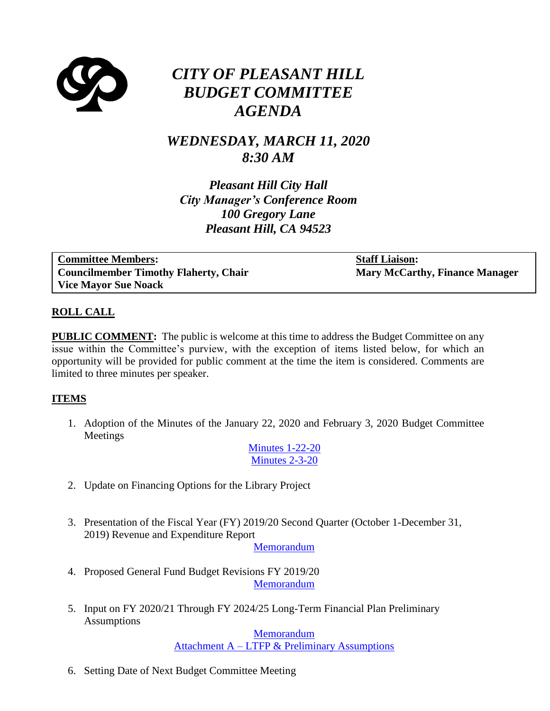

# *CITY OF PLEASANT HILL BUDGET COMMITTEE AGENDA*

## *WEDNESDAY, MARCH 11, 2020 8:30 AM*

*Pleasant Hill City Hall City Manager's Conference Room 100 Gregory Lane Pleasant Hill, CA 94523*

**Committee Members: Councilmember Timothy Flaherty, Chair Vice Mayor Sue Noack**

**Staff Liaison: Mary McCarthy, Finance Manager**

#### **ROLL CALL**

**PUBLIC COMMENT:** The public is welcome at this time to address the Budget Committee on any issue within the Committee's purview, with the exception of items listed below, for which an opportunity will be provided for public comment at the time the item is considered. Comments are limited to three minutes per speaker.

#### **ITEMS**

1. Adoption of the Minutes of the January 22, 2020 and February 3, 2020 Budget Committee Meetings

> [Minutes 1-22-20](https://www.ci.pleasant-hill.ca.us/DocumentCenter/View/18901/11-Minutes-1-22-20) [Minutes 2-3-20](https://www.ci.pleasant-hill.ca.us/DocumentCenter/View/18902/12-Minutes-2-3-20)

- 2. Update on Financing Options for the Library Project
- 3. Presentation of the Fiscal Year (FY) 2019/20 Second Quarter (October 1-December 31, 2019) Revenue and Expenditure Report

[Memorandum](https://www.ci.pleasant-hill.ca.us/DocumentCenter/View/18903/31-Memorandum-2019-20--2nd-qtr-Rev-and-Expend-Report)

- 4. Proposed General Fund Budget Revisions FY 2019/20 [Memorandum](https://www.ci.pleasant-hill.ca.us/DocumentCenter/View/18904/41-Memorandum-Proposed-General-Fund-Budget-Revisions-for-FY-2019-20)
- 5. Input on FY 2020/21 Through FY 2024/25 Long-Term Financial Plan Preliminary **Assumptions**

[Memorandum](https://www.ci.pleasant-hill.ca.us/DocumentCenter/View/18905/51-Memorandum-Input-on-Assumptions) Attachment A – [LTFP & Preliminary Assumptions](https://www.ci.pleasant-hill.ca.us/DocumentCenter/View/18906/52-Attachment-A---Budget-and-LTFP-preliminary-assumptions)

6. Setting Date of Next Budget Committee Meeting